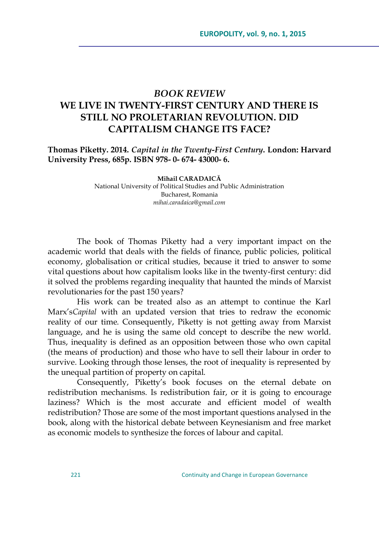## *BOOK REVIEW* **WE LIVE IN TWENTY-FIRST CENTURY AND THERE IS STILL NO PROLETARIAN REVOLUTION. DID CAPITALISM CHANGE ITS FACE?**

**Thomas Piketty. 2014.** *Capital in the Twenty-First Century***. London: Harvard University Press, 685p. ISBN 978- 0- 674- 43000- 6.**

**Mihail CARADAICĂ**

National University of Political Studies and Public Administration Bucharest, Romania *[mihai.caradaica@gmail.com](mailto:mihai.caradaica@gmail.com)*

The book of Thomas Piketty had a very important impact on the academic world that deals with the fields of finance, public policies, political economy, globalisation or critical studies, because it tried to answer to some vital questions about how capitalism looks like in the twenty-first century: did it solved the problems regarding inequality that haunted the minds of Marxist revolutionaries for the past 150 years?

His work can be treated also as an attempt to continue the Karl Marx's*Capital* with an updated version that tries to redraw the economic reality of our time. Consequently, Piketty is not getting away from Marxist language, and he is using the same old concept to describe the new world. Thus, inequality is defined as an opposition between those who own capital (the means of production) and those who have to sell their labour in order to survive. Looking through those lenses, the root of inequality is represented by the unequal partition of property on capital.

Consequently, Piketty's book focuses on the eternal debate on redistribution mechanisms. Is redistribution fair, or it is going to encourage laziness? Which is the most accurate and efficient model of wealth redistribution? Those are some of the most important questions analysed in the book, along with the historical debate between Keynesianism and free market as economic models to synthesize the forces of labour and capital.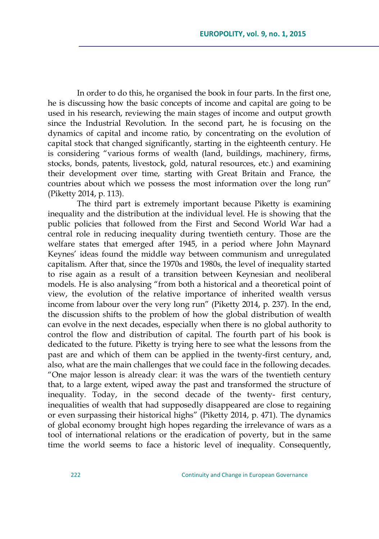In order to do this, he organised the book in four parts. In the first one, he is discussing how the basic concepts of income and capital are going to be used in his research, reviewing the main stages of income and output growth since the Industrial Revolution. In the second part, he is focusing on the dynamics of capital and income ratio, by concentrating on the evolution of capital stock that changed significantly, starting in the eighteenth century. He is considering "various forms of wealth (land, buildings, machinery, firms, stocks, bonds, patents, livestock, gold, natural resources, etc.) and examining their development over time, starting with Great Britain and France, the countries about which we possess the most information over the long run" (Piketty 2014, p. 113).

The third part is extremely important because Piketty is examining inequality and the distribution at the individual level. He is showing that the public policies that followed from the First and Second World War had a central role in reducing inequality during twentieth century. Those are the welfare states that emerged after 1945, in a period where John Maynard Keynes' ideas found the middle way between communism and unregulated capitalism. After that, since the 1970s and 1980s, the level of inequality started to rise again as a result of a transition between Keynesian and neoliberal models. He is also analysing "from both a historical and a theoretical point of view, the evolution of the relative importance of inherited wealth versus income from labour over the very long run" (Piketty 2014, p. 237). In the end, the discussion shifts to the problem of how the global distribution of wealth can evolve in the next decades, especially when there is no global authority to control the flow and distribution of capital. The fourth part of his book is dedicated to the future. Piketty is trying here to see what the lessons from the past are and which of them can be applied in the twenty-first century, and, also, what are the main challenges that we could face in the following decades. ―One major lesson is already clear: it was the wars of the twentieth century that, to a large extent, wiped away the past and transformed the structure of inequality. Today, in the second decade of the twenty- first century, inequalities of wealth that had supposedly disappeared are close to regaining or even surpassing their historical highs" (Piketty 2014, p. 471). The dynamics of global economy brought high hopes regarding the irrelevance of wars as a tool of international relations or the eradication of poverty, but in the same time the world seems to face a historic level of inequality. Consequently,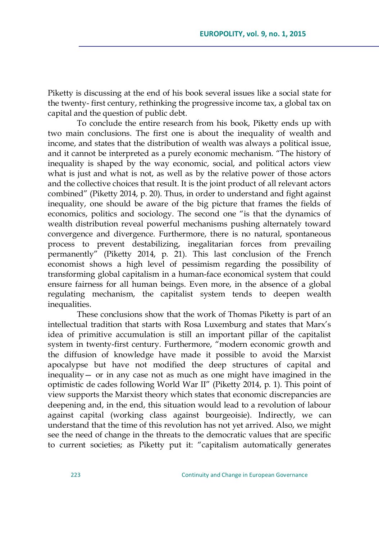Piketty is discussing at the end of his book several issues like a social state for the twenty- first century, rethinking the progressive income tax, a global tax on capital and the question of public debt.

To conclude the entire research from his book, Piketty ends up with two main conclusions. The first one is about the inequality of wealth and income, and states that the distribution of wealth was always a political issue, and it cannot be interpreted as a purely economic mechanism. "The history of inequality is shaped by the way economic, social, and political actors view what is just and what is not, as well as by the relative power of those actors and the collective choices that result. It is the joint product of all relevant actors combined" (Piketty 2014, p. 20). Thus, in order to understand and fight against inequality, one should be aware of the big picture that frames the fields of economics, politics and sociology. The second one "is that the dynamics of wealth distribution reveal powerful mechanisms pushing alternately toward convergence and divergence. Furthermore, there is no natural, spontaneous process to prevent destabilizing, inegalitarian forces from prevailing permanently" (Piketty 2014, p. 21). This last conclusion of the French economist shows a high level of pessimism regarding the possibility of transforming global capitalism in a human-face economical system that could ensure fairness for all human beings. Even more, in the absence of a global regulating mechanism, the capitalist system tends to deepen wealth inequalities.

These conclusions show that the work of Thomas Piketty is part of an intellectual tradition that starts with Rosa Luxemburg and states that Marx's idea of primitive accumulation is still an important pillar of the capitalist system in twenty-first century. Furthermore, "modern economic growth and the diffusion of knowledge have made it possible to avoid the Marxist apocalypse but have not modified the deep structures of capital and inequality— or in any case not as much as one might have imagined in the optimistic de cades following World War II" (Piketty 2014, p. 1). This point of view supports the Marxist theory which states that economic discrepancies are deepening and, in the end, this situation would lead to a revolution of labour against capital (working class against bourgeoisie). Indirectly, we can understand that the time of this revolution has not yet arrived. Also, we might see the need of change in the threats to the democratic values that are specific to current societies; as Piketty put it: "capitalism automatically generates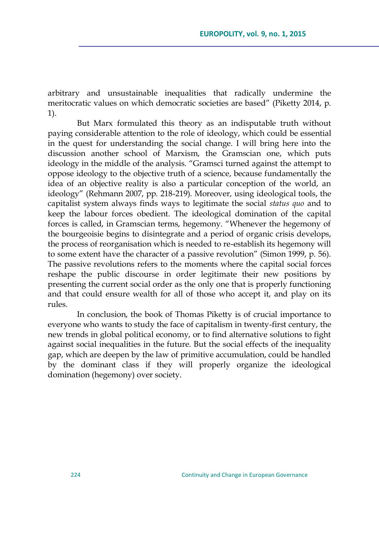arbitrary and unsustainable inequalities that radically undermine the meritocratic values on which democratic societies are based" (Piketty 2014, p. 1).

But Marx formulated this theory as an indisputable truth without paying considerable attention to the role of ideology, which could be essential in the quest for understanding the social change. I will bring here into the discussion another school of Marxism, the Gramscian one, which puts ideology in the middle of the analysis. "Gramsci turned against the attempt to oppose ideology to the objective truth of a science, because fundamentally the idea of an objective reality is also a particular conception of the world, an ideology" (Rehmann 2007, pp. 218-219). Moreover, using ideological tools, the capitalist system always finds ways to legitimate the social *status quo* and to keep the labour forces obedient. The ideological domination of the capital forces is called, in Gramscian terms, hegemony. "Whenever the hegemony of the bourgeoisie begins to disintegrate and a period of organic crisis develops, the process of reorganisation which is needed to re-establish its hegemony will to some extent have the character of a passive revolution" (Simon 1999, p. 56). The passive revolutions refers to the moments where the capital social forces reshape the public discourse in order legitimate their new positions by presenting the current social order as the only one that is properly functioning and that could ensure wealth for all of those who accept it, and play on its rules.

In conclusion, the book of Thomas Piketty is of crucial importance to everyone who wants to study the face of capitalism in twenty-first century, the new trends in global political economy, or to find alternative solutions to fight against social inequalities in the future. But the social effects of the inequality gap, which are deepen by the law of primitive accumulation, could be handled by the dominant class if they will properly organize the ideological domination (hegemony) over society.